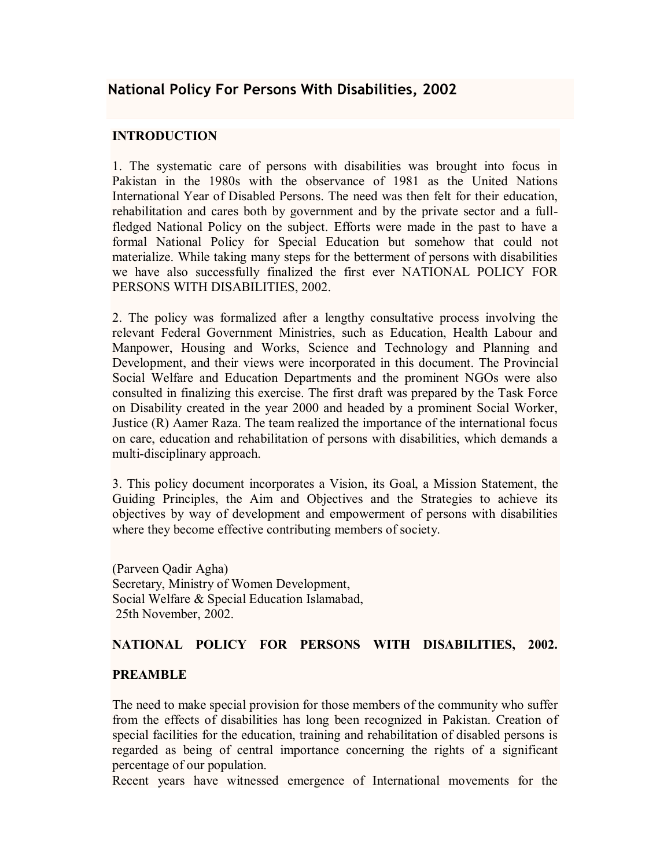# **INTRODUCTION**

1. The systematic care of persons with disabilities was brought into focus in Pakistan in the 1980s with the observance of 1981 as the United Nations International Year of Disabled Persons. The need was then felt for their education, rehabilitation and cares both by government and by the private sector and a fullfledged National Policy on the subject. Efforts were made in the past to have a formal National Policy for Special Education but somehow that could not materialize. While taking many steps for the betterment of persons with disabilities we have also successfully finalized the first ever NATIONAL POLICY FOR PERSONS WITH DISABILITIES, 2002.

2. The policy was formalized after a lengthy consultative process involving the relevant Federal Government Ministries, such as Education, Health Labour and Manpower, Housing and Works, Science and Technology and Planning and Development, and their views were incorporated in this document. The Provincial Social Welfare and Education Departments and the prominent NGOs were also consulted in finalizing this exercise. The first draft was prepared by the Task Force on Disability created in the year 2000 and headed by a prominent Social Worker, Justice (R) Aamer Raza. The team realized the importance of the international focus on care, education and rehabilitation of persons with disabilities, which demands a multi-disciplinary approach.

3. This policy document incorporates a Vision, its Goal, a Mission Statement, the Guiding Principles, the Aim and Objectives and the Strategies to achieve its objectives by way of development and empowerment of persons with disabilities where they become effective contributing members of society.

(Parveen Qadir Agha) Secretary, Ministry of Women Development, Social Welfare & Special Education Islamabad, 25th November, 2002.

## **NATIONAL POLICY FOR PERSONS WITH DISABILITIES, 2002.**

#### **PREAMBLE**

The need to make special provision for those members of the community who suffer from the effects of disabilities has long been recognized in Pakistan. Creation of special facilities for the education, training and rehabilitation of disabled persons is regarded as being of central importance concerning the rights of a significant percentage of our population.

Recent years have witnessed emergence of International movements for the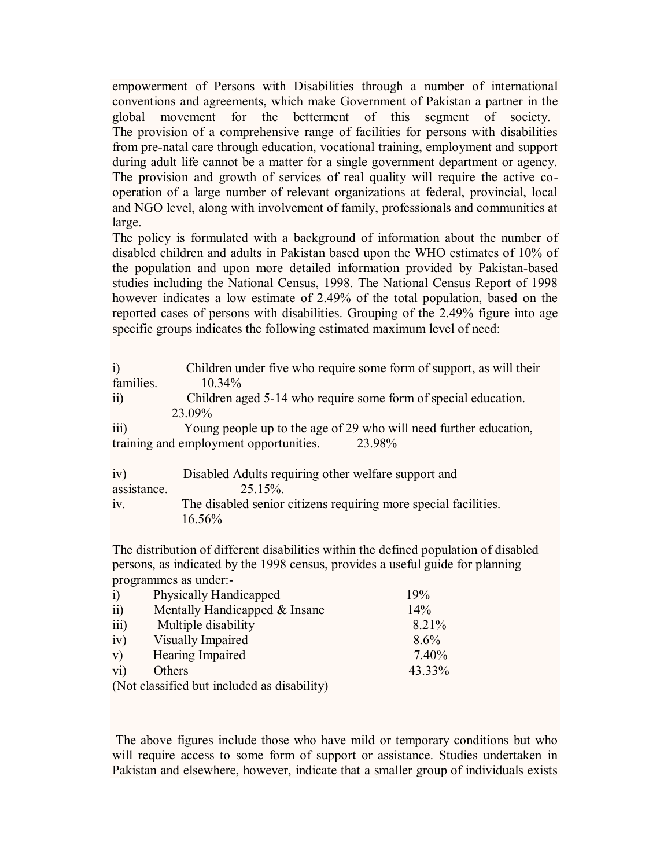empowerment of Persons with Disabilities through a number of international conventions and agreements, which make Government of Pakistan a partner in the global movement for the betterment of this segment of society. The provision of a comprehensive range of facilities for persons with disabilities from pre-natal care through education, vocational training, employment and support during adult life cannot be a matter for a single government department or agency. The provision and growth of services of real quality will require the active cooperation of a large number of relevant organizations at federal, provincial, local and NGO level, along with involvement of family, professionals and communities at large.

The policy is formulated with a background of information about the number of disabled children and adults in Pakistan based upon the WHO estimates of 10% of the population and upon more detailed information provided by Pakistan-based studies including the National Census, 1998. The National Census Report of 1998 however indicates a low estimate of 2.49% of the total population, based on the reported cases of persons with disabilities. Grouping of the 2.49% figure into age specific groups indicates the following estimated maximum level of need:

| $\overline{1}$<br>families.                      | Children under five who require some form of support, as will their<br>10.34% |  |  |
|--------------------------------------------------|-------------------------------------------------------------------------------|--|--|
| $\overline{ii}$                                  | Children aged 5-14 who require some form of special education.                |  |  |
| 23.09%                                           |                                                                               |  |  |
| iii)                                             | Young people up to the age of 29 who will need further education,             |  |  |
| training and employment opportunities.<br>23.98% |                                                                               |  |  |
|                                                  |                                                                               |  |  |
| iv)                                              | Disabled Adults requiring other welfare support and                           |  |  |
| assistance.                                      | 25.15%.                                                                       |  |  |
| iv.                                              | The disabled senior citizens requiring more special facilities.               |  |  |

16.56%

The distribution of different disabilities within the defined population of disabled persons, as indicated by the 1998 census, provides a useful guide for planning programmes as under:-

| $\ddot{1}$       | Physically Handicapped                      | 19%     |
|------------------|---------------------------------------------|---------|
| $\overline{ii}$  | Mentally Handicapped & Insane               | 14%     |
| $\overline{iii}$ | Multiple disability                         | 8.21%   |
| iv)              | Visually Impaired                           | $8.6\%$ |
| V)               | Hearing Impaired                            | 7.40%   |
| $\overline{vi}$  | Others                                      | 43.33%  |
|                  | (Not classified but included as disability) |         |

The above figures include those who have mild or temporary conditions but who will require access to some form of support or assistance. Studies undertaken in Pakistan and elsewhere, however, indicate that a smaller group of individuals exists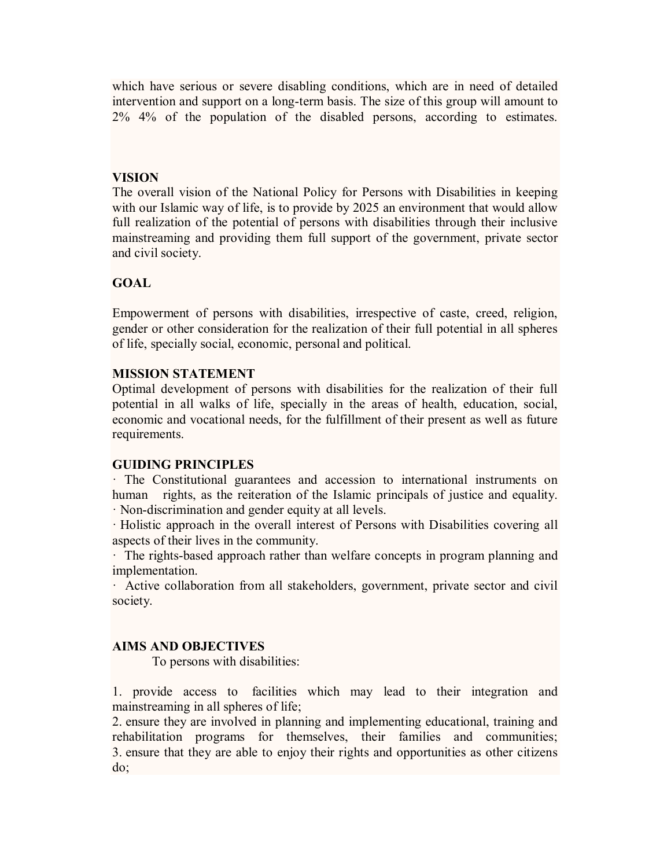which have serious or severe disabling conditions, which are in need of detailed intervention and support on a long-term basis. The size of this group will amount to 2% 4% of the population of the disabled persons, according to estimates.

### **VISION**

The overall vision of the National Policy for Persons with Disabilities in keeping with our Islamic way of life, is to provide by 2025 an environment that would allow full realization of the potential of persons with disabilities through their inclusive mainstreaming and providing them full support of the government, private sector and civil society.

# **GOAL**

Empowerment of persons with disabilities, irrespective of caste, creed, religion, gender or other consideration for the realization of their full potential in all spheres of life, specially social, economic, personal and political.

### **MISSION STATEMENT**

Optimal development of persons with disabilities for the realization of their full potential in all walks of life, specially in the areas of health, education, social, economic and vocational needs, for the fulfillment of their present as well as future requirements.

#### **GUIDING PRINCIPLES**

· The Constitutional guarantees and accession to international instruments on human rights, as the reiteration of the Islamic principals of justice and equality. · Non-discrimination and gender equity at all levels.

· Holistic approach in the overall interest of Persons with Disabilities covering all aspects of their lives in the community.

· The rights-based approach rather than welfare concepts in program planning and implementation.

· Active collaboration from all stakeholders, government, private sector and civil society.

# **AIMS AND OBJECTIVES**

To persons with disabilities:

1. provide access to facilities which may lead to their integration and mainstreaming in all spheres of life;

2. ensure they are involved in planning and implementing educational, training and rehabilitation programs for themselves, their families and communities; 3. ensure that they are able to enjoy their rights and opportunities as other citizens do;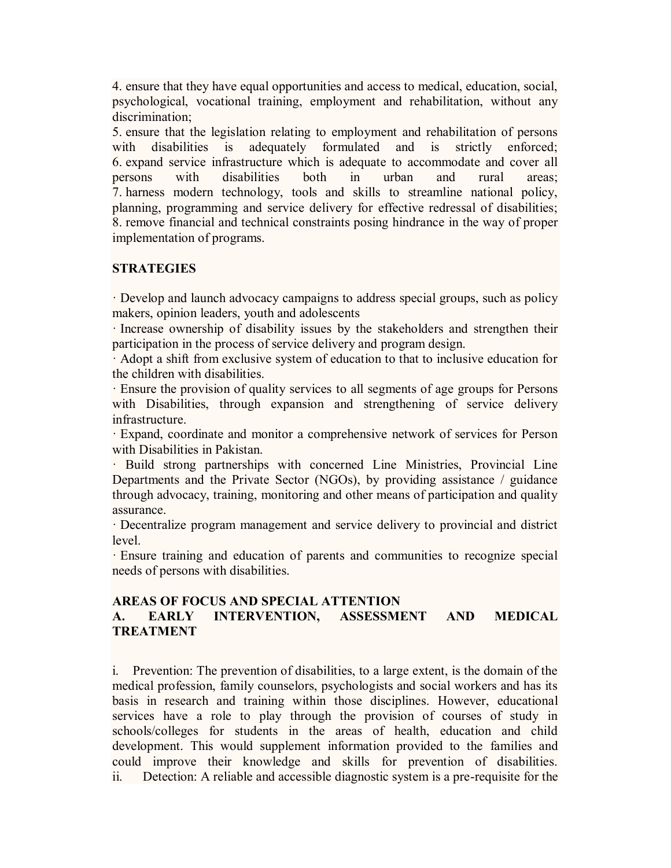4. ensure that they have equal opportunities and access to medical, education, social, psychological, vocational training, employment and rehabilitation, without any discrimination:

5. ensure that the legislation relating to employment and rehabilitation of persons with disabilities is adequately formulated and is strictly enforced; 6. expand service infrastructure which is adequate to accommodate and cover all persons with disabilities both in urban and rural areas; 7. harness modern technology, tools and skills to streamline national policy, planning, programming and service delivery for effective redressal of disabilities; 8. remove financial and technical constraints posing hindrance in the way of proper implementation of programs.

## **STRATEGIES**

· Develop and launch advocacy campaigns to address special groups, such as policy makers, opinion leaders, youth and adolescents

· Increase ownership of disability issues by the stakeholders and strengthen their participation in the process of service delivery and program design.

· Adopt a shift from exclusive system of education to that to inclusive education for the children with disabilities.

· Ensure the provision of quality services to all segments of age groups for Persons with Disabilities, through expansion and strengthening of service delivery infrastructure.

· Expand, coordinate and monitor a comprehensive network of services for Person with Disabilities in Pakistan.

· Build strong partnerships with concerned Line Ministries, Provincial Line Departments and the Private Sector (NGOs), by providing assistance / guidance through advocacy, training, monitoring and other means of participation and quality assurance.

· Decentralize program management and service delivery to provincial and district level.

· Ensure training and education of parents and communities to recognize special needs of persons with disabilities.

#### **AREAS OF FOCUS AND SPECIAL ATTENTION A. EARLY INTERVENTION, ASSESSMENT AND MEDICAL TREATMENT**

i. Prevention: The prevention of disabilities, to a large extent, is the domain of the medical profession, family counselors, psychologists and social workers and has its basis in research and training within those disciplines. However, educational services have a role to play through the provision of courses of study in schools/colleges for students in the areas of health, education and child development. This would supplement information provided to the families and could improve their knowledge and skills for prevention of disabilities. ii. Detection: A reliable and accessible diagnostic system is a pre-requisite for the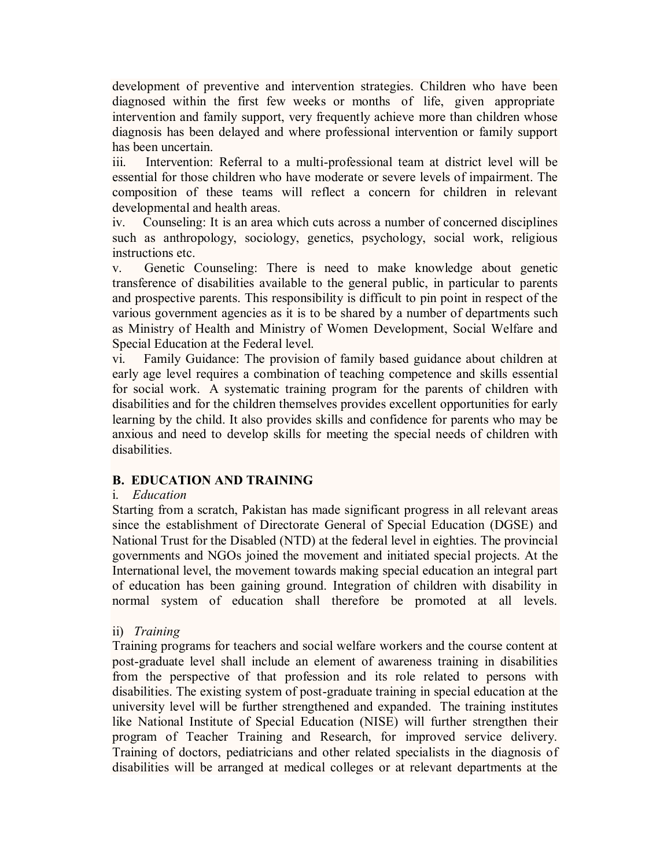development of preventive and intervention strategies. Children who have been diagnosed within the first few weeks or months of life, given appropriate intervention and family support, very frequently achieve more than children whose diagnosis has been delayed and where professional intervention or family support has been uncertain.

iii. Intervention: Referral to a multi-professional team at district level will be essential for those children who have moderate or severe levels of impairment. The composition of these teams will reflect a concern for children in relevant developmental and health areas.

iv. Counseling: It is an area which cuts across a number of concerned disciplines such as anthropology, sociology, genetics, psychology, social work, religious instructions etc.

v. Genetic Counseling: There is need to make knowledge about genetic transference of disabilities available to the general public, in particular to parents and prospective parents. This responsibility is difficult to pin point in respect of the various government agencies as it is to be shared by a number of departments such as Ministry of Health and Ministry of Women Development, Social Welfare and Special Education at the Federal level.

vi. Family Guidance: The provision of family based guidance about children at early age level requires a combination of teaching competence and skills essential for social work. A systematic training program for the parents of children with disabilities and for the children themselves provides excellent opportunities for early learning by the child. It also provides skills and confidence for parents who may be anxious and need to develop skills for meeting the special needs of children with disabilities.

## **B. EDUCATION AND TRAINING**

#### i. *Education*

Starting from a scratch, Pakistan has made significant progress in all relevant areas since the establishment of Directorate General of Special Education (DGSE) and National Trust for the Disabled (NTD) at the federal level in eighties. The provincial governments and NGOs joined the movement and initiated special projects. At the International level, the movement towards making special education an integral part of education has been gaining ground. Integration of children with disability in normal system of education shall therefore be promoted at all levels.

## ii) *Training*

Training programs for teachers and social welfare workers and the course content at post-graduate level shall include an element of awareness training in disabilities from the perspective of that profession and its role related to persons with disabilities. The existing system of post-graduate training in special education at the university level will be further strengthened and expanded. The training institutes like National Institute of Special Education (NISE) will further strengthen their program of Teacher Training and Research, for improved service delivery. Training of doctors, pediatricians and other related specialists in the diagnosis of disabilities will be arranged at medical colleges or at relevant departments at the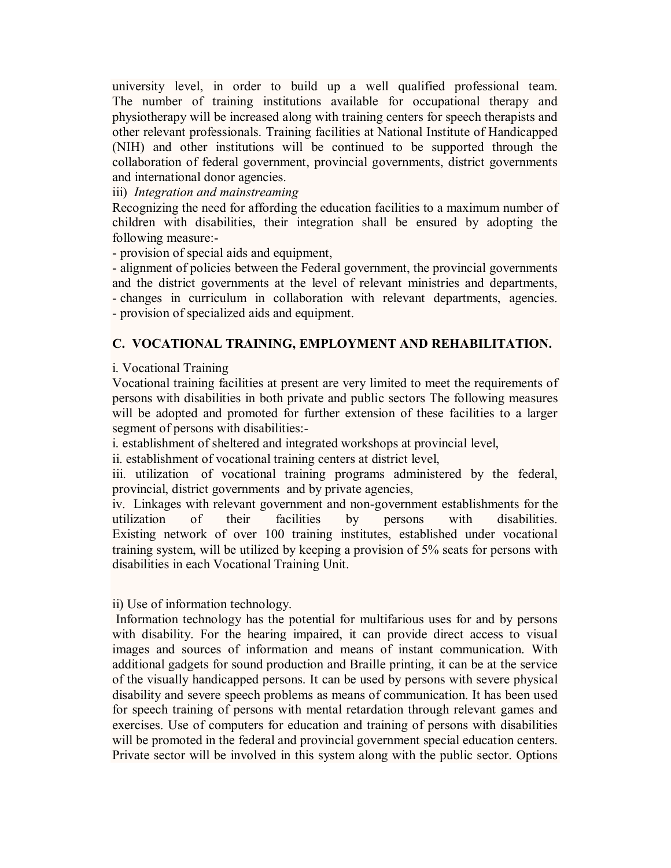university level, in order to build up a well qualified professional team. The number of training institutions available for occupational therapy and physiotherapy will be increased along with training centers for speech therapists and other relevant professionals. Training facilities at National Institute of Handicapped (NIH) and other institutions will be continued to be supported through the collaboration of federal government, provincial governments, district governments and international donor agencies.

iii) *Integration and mainstreaming*

Recognizing the need for affording the education facilities to a maximum number of children with disabilities, their integration shall be ensured by adopting the following measure:-

- provision of special aids and equipment,

- alignment of policies between the Federal government, the provincial governments and the district governments at the level of relevant ministries and departments, - changes in curriculum in collaboration with relevant departments, agencies. - provision of specialized aids and equipment.

### **C. VOCATIONAL TRAINING, EMPLOYMENT AND REHABILITATION.**

i. Vocational Training

Vocational training facilities at present are very limited to meet the requirements of persons with disabilities in both private and public sectors The following measures will be adopted and promoted for further extension of these facilities to a larger segment of persons with disabilities:-

i. establishment of sheltered and integrated workshops at provincial level,

ii. establishment of vocational training centers at district level,

iii. utilization of vocational training programs administered by the federal, provincial, district governments and by private agencies,

iv. Linkages with relevant government and non-government establishments for the utilization of their facilities by persons with disabilities. Existing network of over 100 training institutes, established under vocational training system, will be utilized by keeping a provision of 5% seats for persons with disabilities in each Vocational Training Unit.

ii) Use of information technology.

Information technology has the potential for multifarious uses for and by persons with disability. For the hearing impaired, it can provide direct access to visual images and sources of information and means of instant communication. With additional gadgets for sound production and Braille printing, it can be at the service of the visually handicapped persons. It can be used by persons with severe physical disability and severe speech problems as means of communication. It has been used for speech training of persons with mental retardation through relevant games and exercises. Use of computers for education and training of persons with disabilities will be promoted in the federal and provincial government special education centers. Private sector will be involved in this system along with the public sector. Options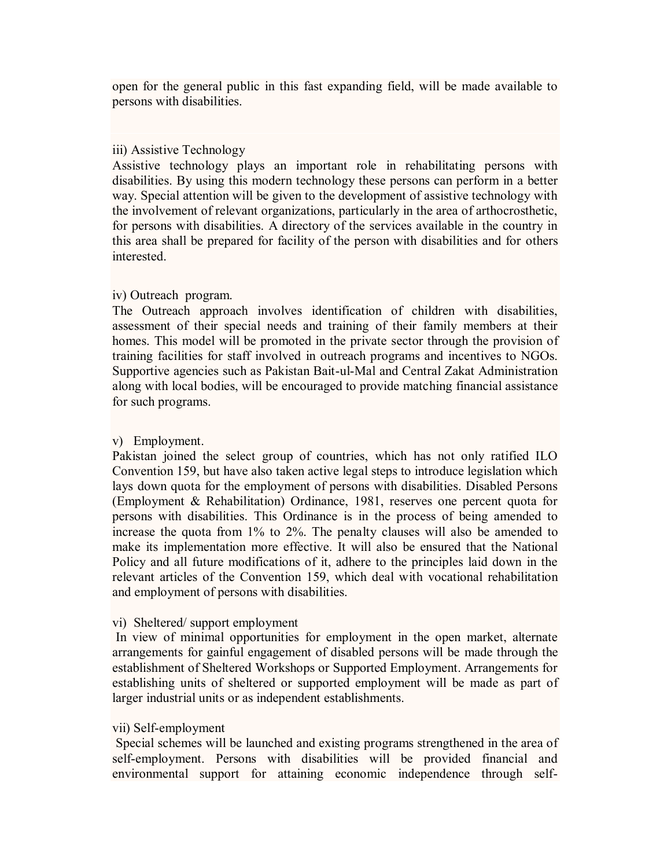open for the general public in this fast expanding field, will be made available to persons with disabilities.

### iii) Assistive Technology

Assistive technology plays an important role in rehabilitating persons with disabilities. By using this modern technology these persons can perform in a better way. Special attention will be given to the development of assistive technology with the involvement of relevant organizations, particularly in the area of arthocrosthetic, for persons with disabilities. A directory of the services available in the country in this area shall be prepared for facility of the person with disabilities and for others interested.

### iv) Outreach program.

The Outreach approach involves identification of children with disabilities, assessment of their special needs and training of their family members at their homes. This model will be promoted in the private sector through the provision of training facilities for staff involved in outreach programs and incentives to NGOs. Supportive agencies such as Pakistan Bait-ul-Mal and Central Zakat Administration along with local bodies, will be encouraged to provide matching financial assistance for such programs.

### v) Employment.

Pakistan joined the select group of countries, which has not only ratified ILO Convention 159, but have also taken active legal steps to introduce legislation which lays down quota for the employment of persons with disabilities. Disabled Persons (Employment & Rehabilitation) Ordinance, 1981, reserves one percent quota for persons with disabilities. This Ordinance is in the process of being amended to increase the quota from 1% to 2%. The penalty clauses will also be amended to make its implementation more effective. It will also be ensured that the National Policy and all future modifications of it, adhere to the principles laid down in the relevant articles of the Convention 159, which deal with vocational rehabilitation and employment of persons with disabilities.

#### vi) Sheltered/ support employment

In view of minimal opportunities for employment in the open market, alternate arrangements for gainful engagement of disabled persons will be made through the establishment of Sheltered Workshops or Supported Employment. Arrangements for establishing units of sheltered or supported employment will be made as part of larger industrial units or as independent establishments.

#### vii) Self-employment

Special schemes will be launched and existing programs strengthened in the area of self-employment. Persons with disabilities will be provided financial and environmental support for attaining economic independence through self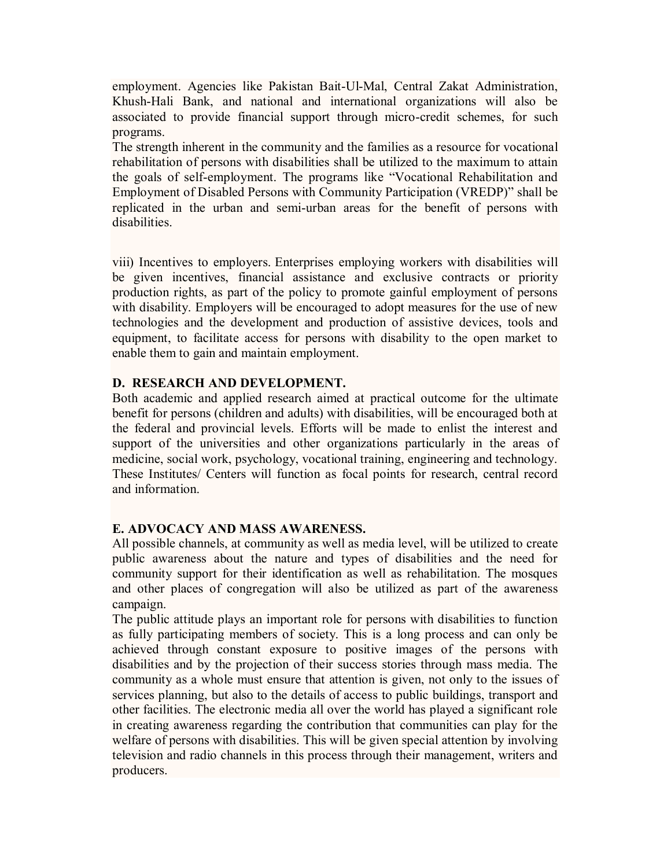employment. Agencies like Pakistan Bait-Ul-Mal, Central Zakat Administration, Khush-Hali Bank, and national and international organizations will also be associated to provide financial support through micro-credit schemes, for such programs.

The strength inherent in the community and the families as a resource for vocational rehabilitation of persons with disabilities shall be utilized to the maximum to attain the goals of self-employment. The programs like "Vocational Rehabilitation and Employment of Disabled Persons with Community Participation (VREDP)" shall be replicated in the urban and semi-urban areas for the benefit of persons with disabilities.

viii) Incentives to employers. Enterprises employing workers with disabilities will be given incentives, financial assistance and exclusive contracts or priority production rights, as part of the policy to promote gainful employment of persons with disability. Employers will be encouraged to adopt measures for the use of new technologies and the development and production of assistive devices, tools and equipment, to facilitate access for persons with disability to the open market to enable them to gain and maintain employment.

### **D. RESEARCH AND DEVELOPMENT.**

Both academic and applied research aimed at practical outcome for the ultimate benefit for persons (children and adults) with disabilities, will be encouraged both at the federal and provincial levels. Efforts will be made to enlist the interest and support of the universities and other organizations particularly in the areas of medicine, social work, psychology, vocational training, engineering and technology. These Institutes/ Centers will function as focal points for research, central record and information.

## **E. ADVOCACY AND MASS AWARENESS.**

All possible channels, at community as well as media level, will be utilized to create public awareness about the nature and types of disabilities and the need for community support for their identification as well as rehabilitation. The mosques and other places of congregation will also be utilized as part of the awareness campaign.

The public attitude plays an important role for persons with disabilities to function as fully participating members of society. This is a long process and can only be achieved through constant exposure to positive images of the persons with disabilities and by the projection of their success stories through mass media. The community as a whole must ensure that attention is given, not only to the issues of services planning, but also to the details of access to public buildings, transport and other facilities. The electronic media all over the world has played a significant role in creating awareness regarding the contribution that communities can play for the welfare of persons with disabilities. This will be given special attention by involving television and radio channels in this process through their management, writers and producers.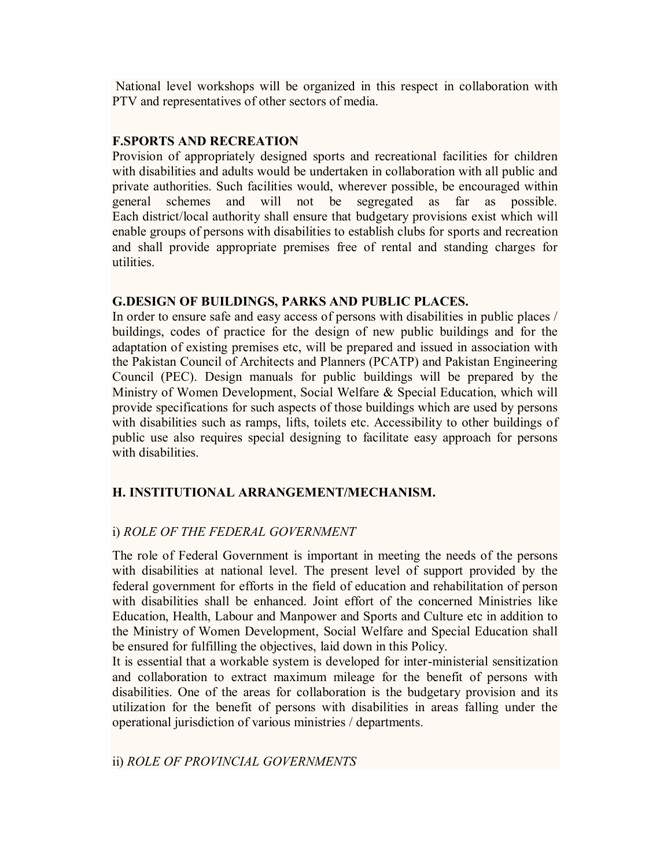National level workshops will be organized in this respect in collaboration with PTV and representatives of other sectors of media.

### **F.SPORTS AND RECREATION**

Provision of appropriately designed sports and recreational facilities for children with disabilities and adults would be undertaken in collaboration with all public and private authorities. Such facilities would, wherever possible, be encouraged within general schemes and will not be segregated as far as possible. Each district/local authority shall ensure that budgetary provisions exist which will enable groups of persons with disabilities to establish clubs for sports and recreation and shall provide appropriate premises free of rental and standing charges for utilities.

### **G.DESIGN OF BUILDINGS, PARKS AND PUBLIC PLACES.**

In order to ensure safe and easy access of persons with disabilities in public places / buildings, codes of practice for the design of new public buildings and for the adaptation of existing premises etc, will be prepared and issued in association with the Pakistan Council of Architects and Planners (PCATP) and Pakistan Engineering Council (PEC). Design manuals for public buildings will be prepared by the Ministry of Women Development, Social Welfare & Special Education, which will provide specifications for such aspects of those buildings which are used by persons with disabilities such as ramps, lifts, toilets etc. Accessibility to other buildings of public use also requires special designing to facilitate easy approach for persons with disabilities

## **H. INSTITUTIONAL ARRANGEMENT/MECHANISM.**

# i) *ROLE OF THE FEDERAL GOVERNMENT*

The role of Federal Government is important in meeting the needs of the persons with disabilities at national level. The present level of support provided by the federal government for efforts in the field of education and rehabilitation of person with disabilities shall be enhanced. Joint effort of the concerned Ministries like Education, Health, Labour and Manpower and Sports and Culture etc in addition to the Ministry of Women Development, Social Welfare and Special Education shall be ensured for fulfilling the objectives, laid down in this Policy.

It is essential that a workable system is developed for inter-ministerial sensitization and collaboration to extract maximum mileage for the benefit of persons with disabilities. One of the areas for collaboration is the budgetary provision and its utilization for the benefit of persons with disabilities in areas falling under the operational jurisdiction of various ministries / departments.

## ii) *ROLE OF PROVINCIAL GOVERNMENTS*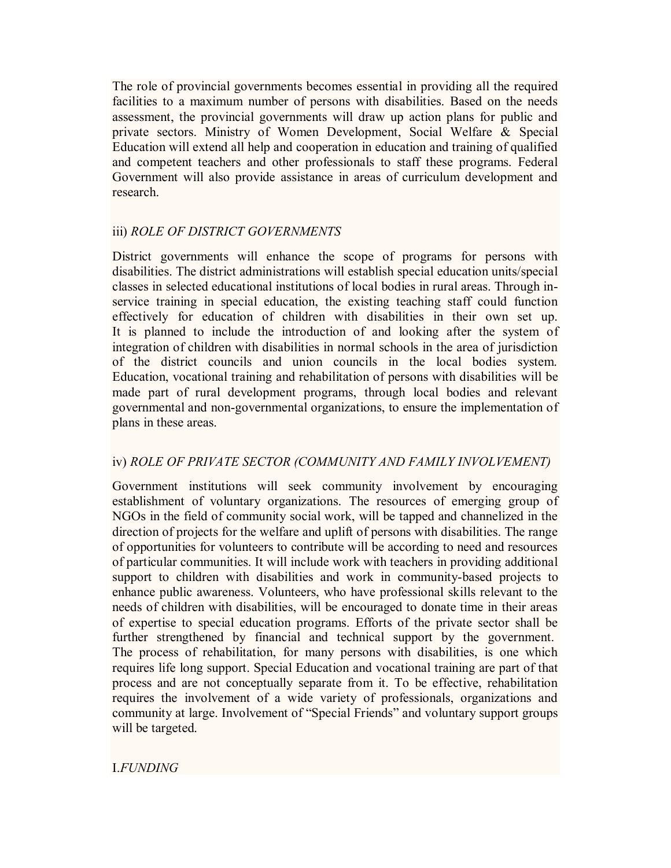The role of provincial governments becomes essential in providing all the required facilities to a maximum number of persons with disabilities. Based on the needs assessment, the provincial governments will draw up action plans for public and private sectors. Ministry of Women Development, Social Welfare & Special Education will extend all help and cooperation in education and training of qualified and competent teachers and other professionals to staff these programs. Federal Government will also provide assistance in areas of curriculum development and research.

## iii) *ROLE OF DISTRICT GOVERNMENTS*

District governments will enhance the scope of programs for persons with disabilities. The district administrations will establish special education units/special classes in selected educational institutions of local bodies in rural areas. Through inservice training in special education, the existing teaching staff could function effectively for education of children with disabilities in their own set up. It is planned to include the introduction of and looking after the system of integration of children with disabilities in normal schools in the area of jurisdiction of the district councils and union councils in the local bodies system. Education, vocational training and rehabilitation of persons with disabilities will be made part of rural development programs, through local bodies and relevant governmental and non-governmental organizations, to ensure the implementation of plans in these areas.

## iv) *ROLE OF PRIVATE SECTOR (COMMUNITY AND FAMILY INVOLVEMENT)*

Government institutions will seek community involvement by encouraging establishment of voluntary organizations. The resources of emerging group of NGOs in the field of community social work, will be tapped and channelized in the direction of projects for the welfare and uplift of persons with disabilities. The range of opportunities for volunteers to contribute will be according to need and resources of particular communities. It will include work with teachers in providing additional support to children with disabilities and work in community-based projects to enhance public awareness. Volunteers, who have professional skills relevant to the needs of children with disabilities, will be encouraged to donate time in their areas of expertise to special education programs. Efforts of the private sector shall be further strengthened by financial and technical support by the government. The process of rehabilitation, for many persons with disabilities, is one which requires life long support. Special Education and vocational training are part of that process and are not conceptually separate from it. To be effective, rehabilitation requires the involvement of a wide variety of professionals, organizations and community at large. Involvement of "Special Friends" and voluntary support groups will be targeted.

I.*FUNDING*